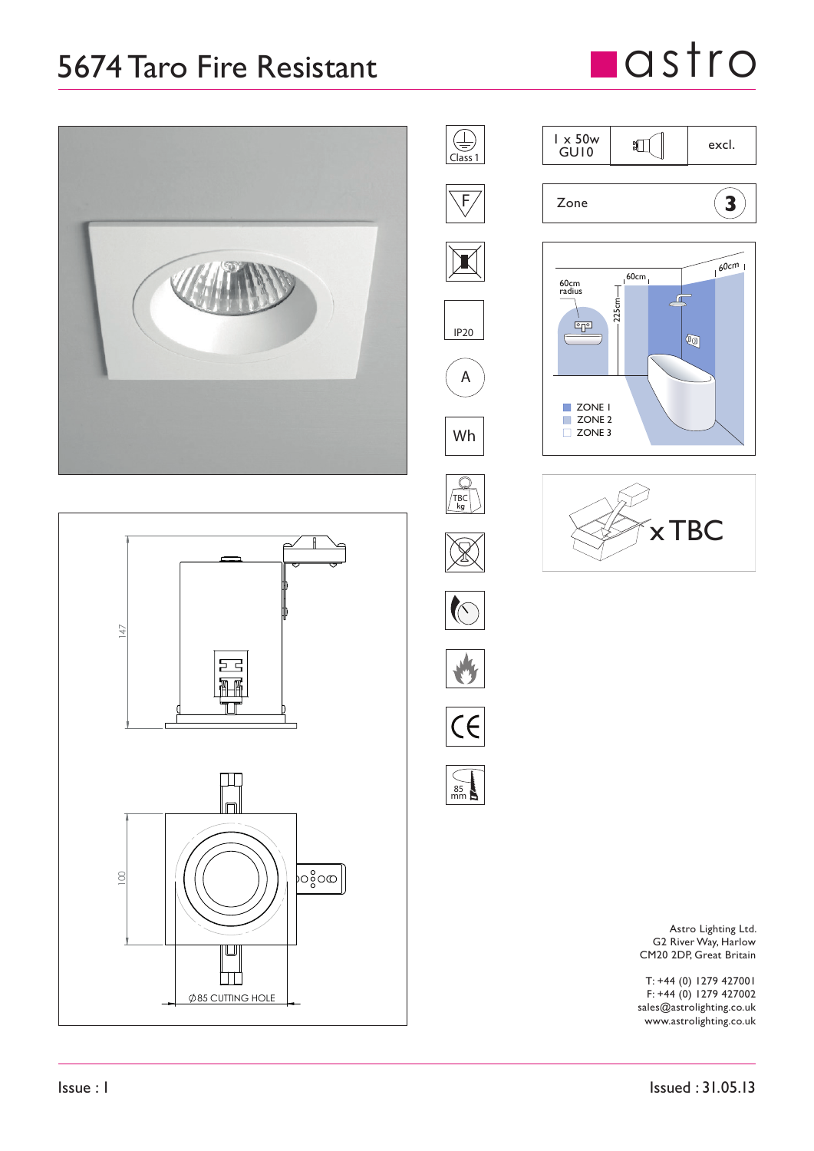## 5674 Taro Fire Resistant

## **n**astro







85 mm







Astro Lighting Ltd. G2 River Way, Harlow CM20 2DP, Great Britain

T: +44 (0) 1279 427001 F: +44 (0) 1279 427002 sales@astrolighting.co.uk www.astrolighting.co.uk